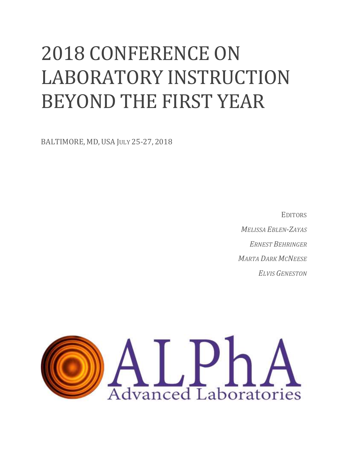# 2018 CONFERENCE ON LABORATORY INSTRUCTION BEYOND THE FIRST YEAR

BALTIMORE, MD, USA JULY 25-27, 2018

**EDITORS** *MELISSA EBLEN-ZAYAS ERNEST BEHRINGER MARTA DARK MCNEESE ELVIS GENESTON*

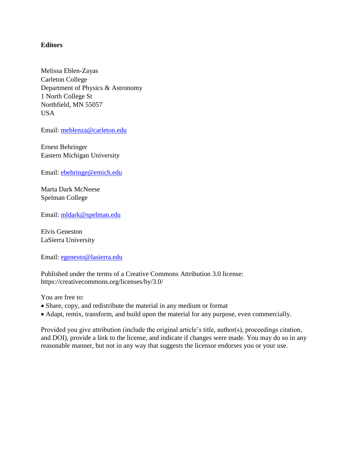#### **Editors**

Melissa Eblen-Zayas Carleton College Department of Physics & Astronomy 1 North College St Northfield, MN 55057 **USA** 

Email: [meblenza@carleton.edu](mailto:meblenza@carleton.edu)

Ernest Behringer Eastern Michigan University

Email: [ebehringe@emich.edu](mailto:ebehringe@emich.edu)

Marta Dark McNeese Spelman College

Email: mldark@spelman.edu

Elvis Geneston LaSierra University

Email: [egenesto@lasierra.edu](mailto:egenesto@lasierra.edu)

Published under the terms of a Creative Commons Attribution 3.0 license: https://creativecommons.org/licenses/by/3.0/

You are free to:

- Share, copy, and redistribute the material in any medium or format
- Adapt, remix, transform, and build upon the material for any purpose, even commercially.

Provided you give attribution (include the original article's title, author(s), proceedings citation, and DOI), provide a link to the license, and indicate if changes were made. You may do so in any reasonable manner, but not in any way that suggests the licensor endorses you or your use.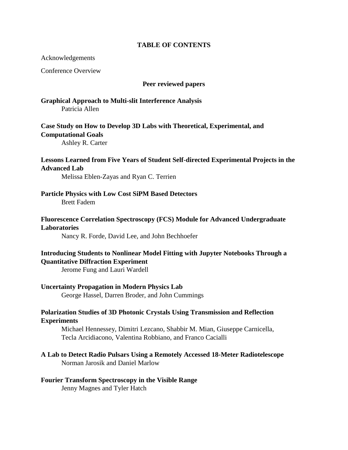#### **TABLE OF CONTENTS**

Acknowledgements

Conference Overview

#### **Peer reviewed papers**

**Graphical Approach to Multi-slit Interference Analysis**  Patricia Allen

**Case Study on How to Develop 3D Labs with Theoretical, Experimental, and Computational Goals**

Ashley R. Carter

#### **Lessons Learned from Five Years of Student Self-directed Experimental Projects in the Advanced Lab**

Melissa Eblen-Zayas and Ryan C. Terrien

**Particle Physics with Low Cost SiPM Based Detectors** Brett Fadem

#### **Fluorescence Correlation Spectroscopy (FCS) Module for Advanced Undergraduate Laboratories**

Nancy R. Forde, David Lee, and John Bechhoefer

#### **Introducing Students to Nonlinear Model Fitting with Jupyter Notebooks Through a Quantitative Diffraction Experiment**

Jerome Fung and Lauri Wardell

**Uncertainty Propagation in Modern Physics Lab**

George Hassel, Darren Broder, and John Cummings

#### **Polarization Studies of 3D Photonic Crystals Using Transmission and Reflection Experiments**

Michael Hennessey, Dimitri Lezcano, Shabbir M. Mian, Giuseppe Carnicella, Tecla Arcidiacono, Valentina Robbiano, and Franco Cacialli

#### **A Lab to Detect Radio Pulsars Using a Remotely Accessed 18-Meter Radiotelescope** Norman Jarosik and Daniel Marlow

#### **Fourier Transform Spectroscopy in the Visible Range**

Jenny Magnes and Tyler Hatch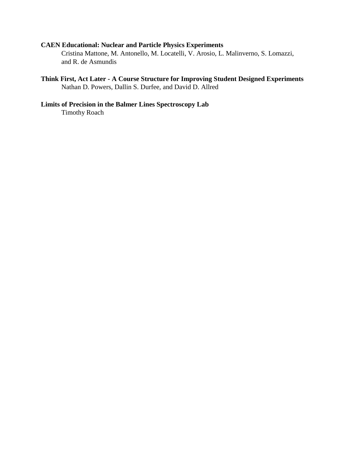### **CAEN Educational: Nuclear and Particle Physics Experiments**

Cristina Mattone, M. Antonello, M. Locatelli, V. Arosio, L. Malinverno, S. Lomazzi, and R. de Asmundis

#### **Think First, Act Later - A Course Structure for Improving Student Designed Experiments** Nathan D. Powers, Dallin S. Durfee, and David D. Allred

## **Limits of Precision in the Balmer Lines Spectroscopy Lab**

Timothy Roach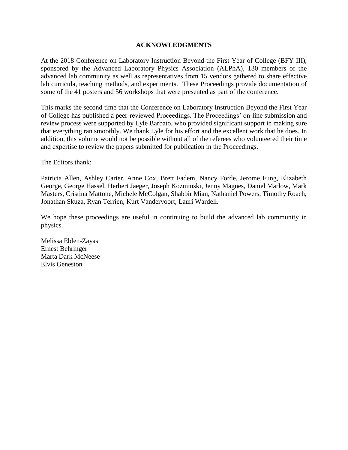#### **ACKNOWLEDGMENTS**

At the 2018 Conference on Laboratory Instruction Beyond the First Year of College (BFY III), sponsored by the Advanced Laboratory Physics Association (ALPhA), 130 members of the advanced lab community as well as representatives from 15 vendors gathered to share effective lab curricula, teaching methods, and experiments. These Proceedings provide documentation of some of the 41 posters and 56 workshops that were presented as part of the conference.

This marks the second time that the Conference on Laboratory Instruction Beyond the First Year of College has published a peer-reviewed Proceedings. The Proceedings' on-line submission and review process were supported by Lyle Barbato, who provided significant support in making sure that everything ran smoothly. We thank Lyle for his effort and the excellent work that he does. In addition, this volume would not be possible without all of the referees who volunteered their time and expertise to review the papers submitted for publication in the Proceedings.

The Editors thank:

Patricia Allen, Ashley Carter, Anne Cox, Brett Fadem, Nancy Forde, Jerome Fung, Elizabeth George, George Hassel, Herbert Jaeger, Joseph Kozminski, Jenny Magnes, Daniel Marlow, Mark Masters, Cristina Mattone, Michele McColgan, Shabbir Mian, Nathaniel Powers, Timothy Roach, Jonathan Skuza, Ryan Terrien, Kurt Vandervoort, Lauri Wardell.

We hope these proceedings are useful in continuing to build the advanced lab community in physics.

Melissa Eblen-Zayas Ernest Behringer Marta Dark McNeese Elvis Geneston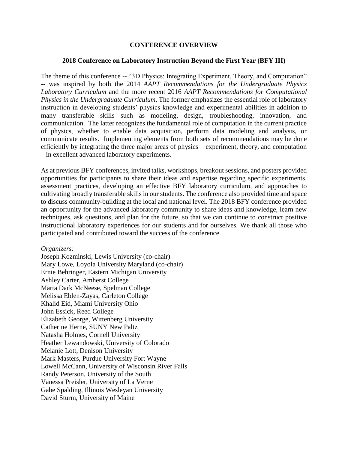#### **CONFERENCE OVERVIEW**

#### **2018 Conference on Laboratory Instruction Beyond the First Year (BFY III)**

The theme of this conference -- "3D Physics: Integrating Experiment, Theory, and Computation" -- was inspired by both the 2014 *AAPT Recommendations for the Undergraduate Physics Laboratory Curriculum* and the more recent 2016 *AAPT Recommendations for Computational Physics in the Undergraduate Curriculum*. The former emphasizes the essential role of laboratory instruction in developing students' physics knowledge and experimental abilities in addition to many transferable skills such as modeling, design, troubleshooting, innovation, and communication. The latter recognizes the fundamental role of computation in the current practice of physics, whether to enable data acquisition, perform data modeling and analysis, or communicate results. Implementing elements from both sets of recommendations may be done efficiently by integrating the three major areas of physics – experiment, theory, and computation – in excellent advanced laboratory experiments.

As at previous BFY conferences, invited talks, workshops, breakout sessions, and posters provided opportunities for participants to share their ideas and expertise regarding specific experiments, assessment practices, developing an effective BFY laboratory curriculum, and approaches to cultivating broadly transferable skills in our students. The conference also provided time and space to discuss community-building at the local and national level. The 2018 BFY conference provided an opportunity for the advanced laboratory community to share ideas and knowledge, learn new techniques, ask questions, and plan for the future, so that we can continue to construct positive instructional laboratory experiences for our students and for ourselves. We thank all those who participated and contributed toward the success of the conference.

#### *Organizers:*

Joseph Kozminski, Lewis University (co-chair) Mary Lowe, Loyola University Maryland (co-chair) Ernie Behringer, Eastern Michigan University Ashley Carter, Amherst College Marta Dark McNeese, Spelman College Melissa Eblen-Zayas, Carleton College Khalid Eid, Miami University Ohio John Essick, Reed College Elizabeth George, Wittenberg University Catherine Herne, SUNY New Paltz Natasha Holmes, Cornell University Heather Lewandowski, University of Colorado Melanie Lott, Denison University Mark Masters, Purdue University Fort Wayne Lowell McCann, University of Wisconsin River Falls Randy Peterson, University of the South Vanessa Preisler, University of La Verne Gabe Spalding, Illinois Wesleyan University David Sturm, University of Maine